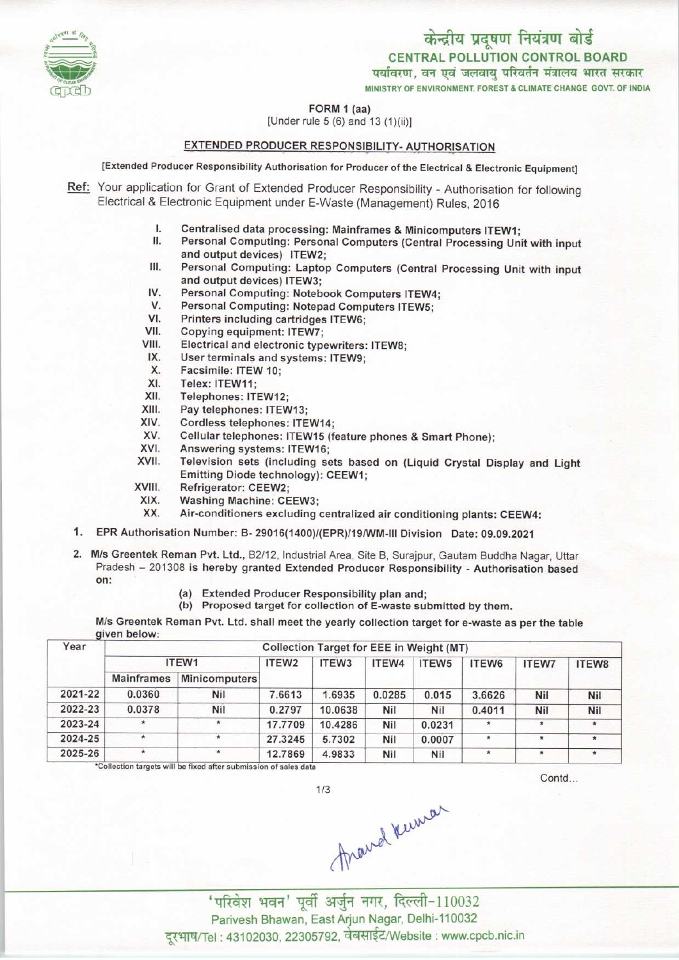

## FORM 1 (aa)

[Under rule 5 (6) and 13 (1)(ii)]

# EXTENDED PRODUCER RESPONSIBILITY- AUTHORISATION

[Extended Producer Responsibility Authorisation for Producer of the Electrical & Electronic Equipment]

- Ref: Your application for Grant of Extended Producer Responsibility Authorisation for following Electrical & Electronic Equipment under E-Waste (Management) Rules, 2016
	- I. Centralised data processing: Mainframes & Minicomputers ITEW1;<br>II. Personal Computing: Personal Computers (Central Processing Uni
	- Personal Computing: Personal Computers (Central Processing Unit with input and output devices) ITEW2; II. Personal Computing: Personal Computers (Central Processing Unit with input<br>and output devices) ITEW2;<br>III. Personal Computing: Laptop Computers (Central Processing Unit with input<br>and output devices) ITEW3:
	- and output devices) ITEW3; III. Personal Computing: Laptop Computers (Central<br>and output devices) ITEW3;<br>IV. Personal Computing: Notebook Computers ITEW4;<br>V. Personal Computing: Notepad Computers ITEW5; and output devices) ITEW3;<br>V. Personal Computing: Notebook Computers ITEW-<br>V. Personal Computing: Notepad Computers ITEW5;<br>V. Printers including cartridges ITEW6;
	- IV. Personal Computing: Notebook Con<br>V. Personal Computing: Notepad Computing Porters including cartridges ITEW6;<br>VII. Copying equipment: ITEW7:
	- V. Personal Computing: Notepad Computers ITEW5;<br>VI. Printers including cartridges ITEW6;<br>VII. Copying equipment: ITEW7;<br>VIII. Electrical and electronic typewriters: ITEW8:
	-
	-
	- VI. Printers including cartridges ITEW6;<br>VII. Copying equipment: ITEW7;<br>VIII. Electrical and electronic typewriters: ITEW8;<br>IX. User terminals and systems: ITEW9. VII. Copying equipment: ITEW7;<br>
	III. Electrical and electronic typewriters<br>
	IX. User terminals and systems: ITEW9;<br>
	X. Facsimile: ITEW 10: III. Electrical and electrons.<br>
	X. User terminals and<br>
	X. Facsimile: ITEW 10;<br>
	X. Telex: ITEW 11;
	- IX. User terminals and systems: ITEW9;<br>X. Facsimile: ITEW 10;<br>XI. Telex: ITEW11;<br>XII. Telephones: ITEW12:
	-
	-
	- XII. Telephones: ITEW12;<br>XIII. Pay telephones: ITEW
	- XIII. Pay telephones: ITEW13;<br>XIV. Cordless telephones: ITE
	- XIV. Cordless telephones: ITEW14;<br>XV. Cellular telephones: ITEW15 (f
	- XV. Cellulartelephones: ITEW15 (feature phones & Smart Phone);
	- XIV. Cordless telephones: ITEW14<br>XV. Cellular telephones: ITEW15<br>XVI. Answering systems: ITEW16;<br>XVII. Television sets (including s
	- XVI. Answering systems: ITEW16;<br>XVII. Television sets (including sets based on (Liquid Crystal Display and Light Emitting Diode technology): CEEW1;<br>XIII. Refrigerator: CEEW2;<br>XIX. Washing Machine: CEEW3;<br>XX. Air-conditioners excluding centralize
	- XVIII. Refrigerator: CEEW2;<br>XIX. Washing Machine: CEEW3;
	-
	- XX. Air-conditioners excluding centralized air conditioning plants: CEEW4:
- 1.EPR Authorisation Number: B- 29016(1400)/(EPR)/19/WM-lll Division Date: 09.09.2021
- 2. M/s Greentek Reman Pvt. Ltd., B2/12, Industrial Area, Site B, Surajpur, Gautam Buddha Nagar, Uttar Pradesh - <sup>201308</sup> is hereby granted Extended Producer Responsibility - Authorisation based on:
	- (a)Extended Producer Responsibility plan and;
	- (b) Proposed target for collection of E-waste submitted by them.

M/s Greentek Reman Pvt. Ltd. shall meet the yearly collection target for e-waste as per the table given below:

| Year    | Collection Target for EEE in Weight (MT) |                      |         |                   |        |        |         |              |              |  |  |
|---------|------------------------------------------|----------------------|---------|-------------------|--------|--------|---------|--------------|--------------|--|--|
|         | ITEW1                                    |                      | ITEW2   | ITEW <sub>3</sub> | ITEW4  | ITEW5  | ITEW6   | <b>ITEW7</b> | <b>ITEW8</b> |  |  |
|         | <b>Mainframes</b>                        | <b>Minicomputers</b> |         |                   |        |        |         |              |              |  |  |
| 2021-22 | 0.0360                                   | Nil                  | 7.6613  | 1.6935            | 0.0285 | 0.015  | 3.6626  | Nil          | <b>Nil</b>   |  |  |
| 2022-23 | 0.0378                                   | Nil                  | 0.2797  | 10.0638           | Nil    | Nil    | 0.4011  | Nil          | Nil          |  |  |
| 2023-24 | $\star$                                  | $\star$              | 17,7709 | 10.4286           | Nil    | 0.0231 | $\star$ | $\star$      | $\star$      |  |  |
| 2024-25 | $\pmb{\ast}$                             | $\star$              | 27.3245 | 5,7302            | Nil    | 0.0007 | $\star$ |              | $\star$      |  |  |
| 2025-26 | $\star$                                  | $\star$              | 12.7869 | 4.9833            | Nil    | Nil    | $\star$ |              | ۰            |  |  |

 $1/3$ 

\*Collection targets will be fixed after submission of sales da

Contd...

Frand Kumar

' परिवेश भवन' पूर्वी अर्जुन नगर, दिल्ली-110032 Parivesh Bhawan, EastArjun Nagar, Delhi-110032 दरभाष/Tel : 43102030, 22305792, वेबसाईट/Website : www.cpcb.nic.in

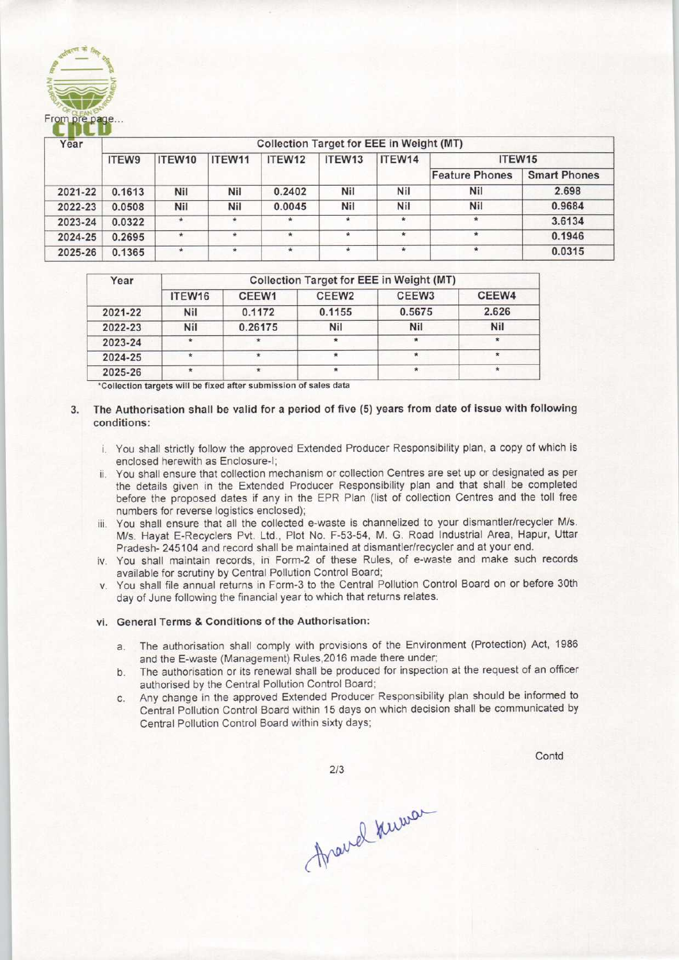

| Year    | <b>Collection Target for EEE in Weight (MT)</b> |         |         |         |         |            |                       |                     |  |  |  |
|---------|-------------------------------------------------|---------|---------|---------|---------|------------|-----------------------|---------------------|--|--|--|
|         | <b>ITEW9</b>                                    | ITEW10  | ITEW11  | ITEW12  | ITEW13  | ITEW14     | ITEW15                |                     |  |  |  |
|         |                                                 |         |         |         |         |            | <b>Feature Phones</b> | <b>Smart Phones</b> |  |  |  |
| 2021-22 | 0.1613                                          | Nil     | Nil     | 0.2402  | Nil     | <b>Nil</b> | <b>Nil</b>            | 2.698               |  |  |  |
| 2022-23 | 0.0508                                          | Nil     | Nil     | 0.0045  | Nil     | <b>Nil</b> | Nil                   | 0.9684              |  |  |  |
| 2023-24 | 0.0322                                          | $*$     |         |         | $\star$ |            | 米                     | 3.6134              |  |  |  |
| 2024-25 | 0.2695                                          | $\star$ | $\star$ | $\star$ | $\star$ | $\star$    | $\pmb{\ast}$          | 0.1946              |  |  |  |
| 2025-26 | 0.1365                                          | $\star$ | $\star$ | $\star$ | $\star$ | ٠          |                       | 0.0315              |  |  |  |

| Year    | <b>Collection Target for EEE in Weight (MT)</b> |         |                   |                   |         |  |  |  |  |
|---------|-------------------------------------------------|---------|-------------------|-------------------|---------|--|--|--|--|
|         | ITEW <sub>16</sub>                              | CEEW1   | CEEW <sub>2</sub> | CEEW <sub>3</sub> | CEEW4   |  |  |  |  |
| 2021-22 | Nil                                             | 0.1172  | 0.1155            | 0.5675            | 2.626   |  |  |  |  |
| 2022-23 | Nil                                             | 0.26175 | <b>Nil</b>        | <b>Nil</b>        | Nil     |  |  |  |  |
| 2023-24 | $\ast$                                          | $\ast$  |                   | $\star$           | $\star$ |  |  |  |  |
| 2024-25 | $\ast$                                          |         |                   | $\star$           | $\star$ |  |  |  |  |
| 2025-26 | $\frac{1}{2}$                                   | $\star$ |                   | $\star$           |         |  |  |  |  |

\*Collection targets will be fixed after submission of sales data

# 3. The Authorisation shall be valid for a period of five (5) years from date of issue with following conditions:

- i. You shall strictly follow the approved Extended Producer Responsibility plan, a copy of which is enclosed herewith as Enclosure-I;
- ii. You shall ensure that collection mechanism or collection Centres are set up or designated as per the details given in the Extended Producer Responsibility plan and that shall be completed before the proposed dates if any in the EPR Plan (list of collection Centres and the toll free numbers for reverse logistics enclosed);
- iii. You shall ensure that all the collected e-waste is channelized to your dismantler/recycler M/s. M/S- Hayat E-Recyclers Pvt. Ltd., Plot No- F-53-54, M- G. Road Industrial Area, Hapur, Uttar Pradesh- 245104 and record shall be maintained at dismantler/recycler and at your end.
- iv. You shall maintain records, in Form-2 of these Rules, of e-waste and make such records available for scrutiny by Central Pollution Control Board;
- v. You shall file annual returns in Form-3 to the Central Pollution Control Board on or before 30th day of June following the financial year to which that returns relates.

### vi. General Terms & Conditions of the Authorisation:

- a.The authorisation shall comply with provisions of the Environment (Protection) Act, <sup>1986</sup> and the E-waste (Management) Rules,2016 made there under;
- b.The authorisation or its renewal shall be produced for inspection at the request of an officer authorised by the Central Pollution Control Board;
- c.Any change in the approved Extended Producer Responsibility plan should be informed to Central Pollution Control Board within 15 days on which decision shall be communicated by Central Pollution Control Board within sixty days;

**Contd** 

 $2/3$ 

Around Kuman